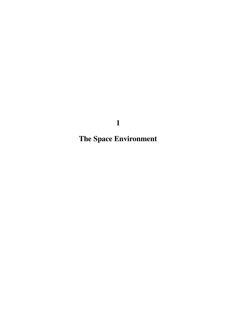**The Space Environment**

**1**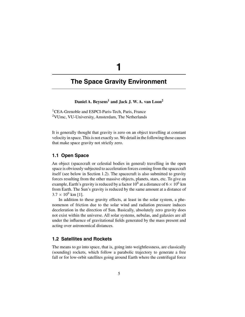# **The Space Gravity Environment**

**1**

# Daniel A. Beysens<sup>1</sup> and Jack J. W. A. van Loon<sup>2</sup>

<sup>1</sup>CEA-Grenoble and ESPCI-Paris-Tech, Paris, France <sup>2</sup>VUmc, VU-University, Amsterdam, The Netherlands

It is generally thought that gravity is zero on an object travelling at constant velocity in space. This is not exactly so. We detail in the following those causes that make space gravity not strictly zero.

## **1.1 Open Space**

An object (spacecraft or celestial bodies in general) travelling in the open space is obviously subjected to acceleration forces coming from the spacecraft itself (see below in Section 1.2). The spacecraft is also submitted to gravity forces resulting from the other massive objects, planets, stars, etc. To give an example, Earth's gravity is reduced by a factor 10<sup>6</sup> at a distance of  $6 \times 10^6$  km from Earth. The Sun's gravity is reduced by the same amount at a distance of  $3.7 \times 10^9$  km [1].

In addition to these gravity effects, at least in the solar system, a phenomenon of friction due to the solar wind and radiation pressure induces deceleration in the direction of Sun. Basically, absolutely zero gravity does not exist within the universe. All solar systems, nebulas, and galaxies are all under the influence of gravitational fields generated by the mass present and acting over astronomical distances.

### **1.2 Satellites and Rockets**

The means to go into space, that is, going into weightlessness, are classically (sounding) rockets, which follow a parabolic trajectory to generate a free fall or for low-orbit satellites going around Earth where the centrifugal force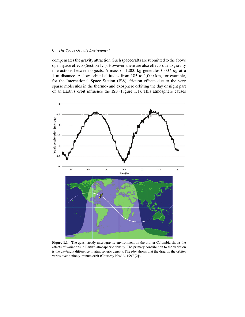#### 6 *The Space Gravity Environment*

compensates the gravity attraction. Such spacecrafts are submitted to the above open space effects (Section 1.1). However, there are also effects due to gravity interactions between objects. A mass of 1,000 kg generates 0.007  $\mu$ g at a 1 m distance. At low orbital altitudes from 185 to 1,000 km, for example, for the International Space Station (ISS), friction effects due to the very sparse molecules in the thermo- and exosphere orbiting the day or night part of an Earth's orbit influence the ISS (Figure 1.1). This atmosphere causes



Figure 1.1 The quasi-steady microgravity environment on the orbiter Columbia shows the effects of variations in Earth's atmospheric density. The primary contribution to the variation is the day/night difference in atmospheric density. The *plot* shows that the drag on the orbiter varies over a ninety-minute orbit (Courtesy NASA, 1997 [2]).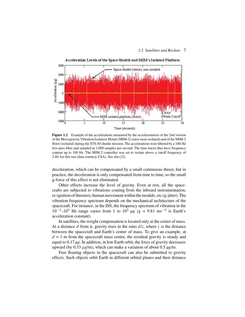

**Figure 1.2** Example of the accelerations measured by the accelerometers of the 2nd version of the Microgravity Vibration Isolation Mount (MIM-2) stator (non-isolated) and of the MIM-2 flotor (isolated) during the STS-85 shuttle mission. The accelerations were filtered by a 100-Hz low-pass filter and sampled at 1,000 samples per second. The time traces thus have frequency content up to 100 Hz. The MIM-2 controller was set to isolate above a cutoff frequency of 2 Hz for this run (data courtesy CSA). See also [3].

deceleration, which can be compensated by a small continuous thrust, but in practice, the deceleration is only compensated from time to time, so the small g-force of this effect is not eliminated.

Other effects increase the level of gravity. Even at rest, all the spacecrafts are subjected to vibrations coming from the inboard instrumentation, re-ignition of thrusters, human movement within the module, etc (g-jitter). The vibration frequency spectrum depends on the mechanical architecture of the spacecraft. For instance, in the ISS, the frequency spectrum of vibration in the 10<sup>-2</sup>–10<sup>3</sup> Hz range varies from 1 to 10<sup>3</sup> μg (*g* = 9.81 ms<sup>-2</sup> is Earth's acceleration constant).

In satellites, the weight compensation is located only at the center of mass. At a distance *d* from it, gravity rises in the ratio  $d/z$ , where *z* is the distance between the spacecraft and Earth's center of mass. To give an example, at  $d = 1$  m from the spacecraft mass center, the residual gravity is steady and equal to 0.17 µ*g*. In addition, in low Earth orbit, the force of gravity decreases upward (by 0.33 μ*g*/m), which can make a variation of about 0.5 µ*g*/m.

Free floating objects in the spacecraft can also be submitted to gravity effects. Such objects orbit Earth in different orbital planes and their distance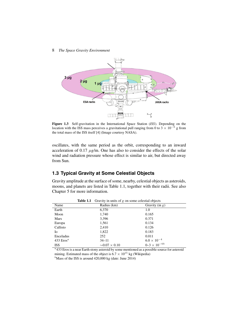#### 8 *The Space Gravity Environment*



**Figure 1.3** Self-gravitation in the International Space Station (*ISS*). Depending on the location with the ISS mass perceives a gravitational pull ranging from 0 to 3  $\times$  10<sup>-6</sup> g from the total mass of the ISS itself [4] (Image courtesy NASA).

oscillates, with the same period as the orbit, corresponding to an inward acceleration of 0.17 μ*g*/m. One has also to consider the effects of the solar wind and radiation pressure whose effect is similar to air, but directed away from Sun.

# **1.3 Typical Gravity at Some Celestial Objects**

Gravity amplitude at the surface of some, nearby, celestial objects as asteroids, moons, and planets are listed in Table 1.1, together with their radii. See also Chapter 5 for more information.

|              | Table 1.1 | Gravity in units of $g$ on some celestial objects |                         |
|--------------|-----------|---------------------------------------------------|-------------------------|
| Name         |           | Radius (km)                                       | Gravity (in $g$ )       |
| Earth        |           | 6,370                                             | 1.0                     |
| Moon         |           | 1,740                                             | 0.165                   |
| Mars         |           | 3,396                                             | 0.371                   |
| Europa       |           | 1,561                                             | 0.134                   |
| Callisto     |           | 2,410                                             | 0.126                   |
| Iо           |           | 1,822                                             | 0.183                   |
| Enceladus    |           | 252                                               | 0.011                   |
| 433 $Eros^a$ |           | $34 - 11$                                         | $6.0 \times 10^{-4}$    |
| <b>ISS</b>   |           | $\sim 0.07 \times 0.10$                           | $0 - 3 \times 10^{-6b}$ |

**Table 1.1** Gravity in units of *g* on some celestial objects

<sup>a</sup> 433 Eros is a near Earth stony asteroid by some mentioned as a possible source for asteroid mining. Estimated mass of the object is  $6.7 \times 10^{15}$  kg (Wikipedia)

 $<sup>b</sup>$ Mass of the ISS is around 420,000 kg (date: June 2014)</sup>